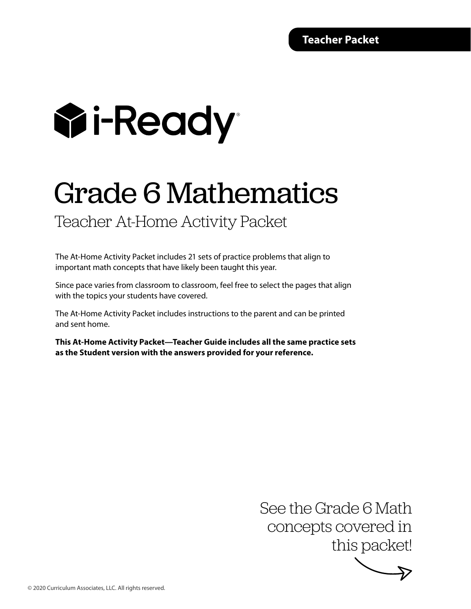# **Wi-Ready**

## Grade 6 Mathematics

#### Teacher At-Home Activity Packet

The At-Home Activity Packet includes 21 sets of practice problems that align to important math concepts that have likely been taught this year.

Since pace varies from classroom to classroom, feel free to select the pages that align with the topics your students have covered.

The At-Home Activity Packet includes instructions to the parent and can be printed and sent home.

**This At-Home Activity Packet—Teacher Guide includes all the same practice sets as the Student version with the answers provided for your reference.**

> See the Grade 6 Math concepts covered in this packet!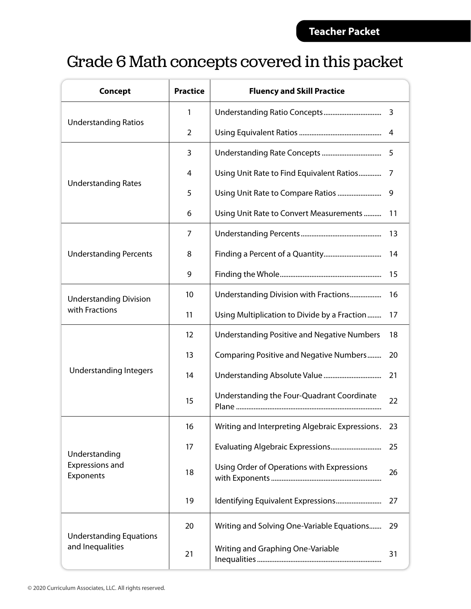### Grade 6 Math concepts covered in this packet

| <b>Concept</b>                                     | <b>Practice</b>   | <b>Fluency and Skill Practice</b>                  |    |
|----------------------------------------------------|-------------------|----------------------------------------------------|----|
|                                                    | 1                 |                                                    | 3  |
| <b>Understanding Ratios</b>                        | 2                 |                                                    |    |
|                                                    | 3                 |                                                    | 5  |
|                                                    | 4                 | Using Unit Rate to Find Equivalent Ratios          |    |
| <b>Understanding Rates</b>                         | 5                 | Using Unit Rate to Compare Ratios                  |    |
|                                                    | 6                 | Using Unit Rate to Convert Measurements            | 11 |
|                                                    | 7                 |                                                    | 13 |
| <b>Understanding Percents</b>                      | 8                 |                                                    | 14 |
|                                                    | 9                 |                                                    | 15 |
| <b>Understanding Division</b>                      | 10                | Understanding Division with Fractions              |    |
| with Fractions                                     | 11                | Using Multiplication to Divide by a Fraction       | 17 |
|                                                    | $12 \overline{ }$ | <b>Understanding Positive and Negative Numbers</b> | 18 |
|                                                    | 13                | Comparing Positive and Negative Numbers            | 20 |
| <b>Understanding Integers</b>                      | 14                |                                                    | 21 |
|                                                    | 15                | Understanding the Four-Quadrant Coordinate         |    |
|                                                    | 16                | Writing and Interpreting Algebraic Expressions.    |    |
| Understanding                                      | 17                |                                                    | 25 |
| Expressions and<br>Exponents                       | 18                | Using Order of Operations with Expressions         | 26 |
|                                                    | 19                |                                                    | 27 |
|                                                    | 20                | Writing and Solving One-Variable Equations         | 29 |
| <b>Understanding Equations</b><br>and Inequalities | 21                | Writing and Graphing One-Variable                  | 31 |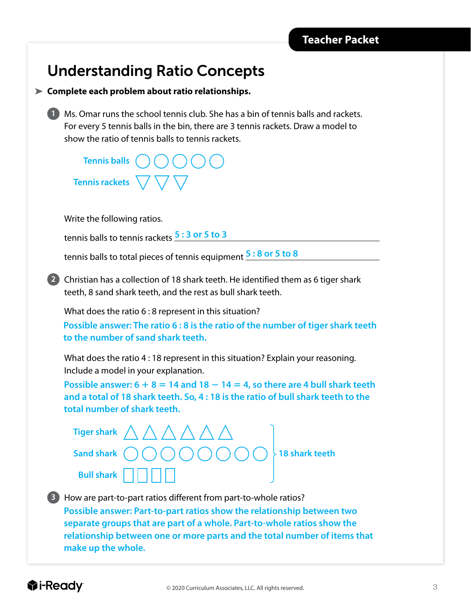#### Understanding Ratio Concepts

**Complete each problem about ratio relationships.** 

**1** Ms. Omar runs the school tennis club. She has a bin of tennis balls and rackets. For every 5 tennis balls in the bin, there are 3 tennis rackets. Draw a model to show the ratio of tennis balls to tennis rackets.

**Tennis balls Tennis rackets**

Write the following ratios.

tennis balls to tennis rackets **5 : 3 or 5 to 3**

tennis balls to total pieces of tennis equipment **5 : 8 or 5 to 8**

**2** Christian has a collection of 18 shark teeth. He identified them as 6 tiger shark teeth, 8 sand shark teeth, and the rest as bull shark teeth.

What does the ratio 6 : 8 represent in this situation?

**Possible answer: The ratio 6 : 8 is the ratio of the number of tiger shark teeth to the number of sand shark teeth.**

What does the ratio 4 : 18 represent in this situation? Explain your reasoning. Include a model in your explanation.

**Possible answer:**  $6 + 8 = 14$  **and**  $18 - 14 = 4$ **, so there are 4 bull shark teeth and a total of 18 shark teeth. So, 4 : 18 is the ratio of bull shark teeth to the total number of shark teeth.**

**Tiger shark Sand shark**  $\binom{1}{1}$   $\binom{1}{1}$   $\binom{1}{1}$   $\binom{1}{1}$   $\binom{1}{1}$   $\binom{1}{2}$  **18 shark teeth Bull shark**

**3** How are part-to-part ratios different from part-to-whole ratios? **Possible answer: Part-to-part ratios show the relationship between two separate groups that are part of a whole. Part-to-whole ratios show the relationship between one or more parts and the total number of items that make up the whole.**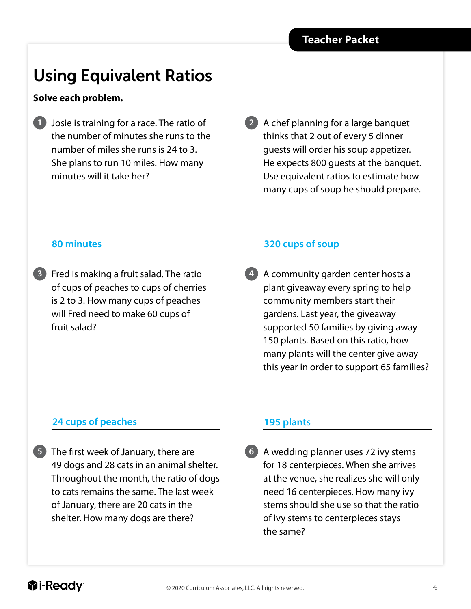### Using Equivalent Ratios

#### **Solve each problem.**

- **1** Josie is training for a race. The ratio of the number of minutes she runs to the number of miles she runs is 24 to 3. She plans to run 10 miles. How many minutes will it take her?
- **2** A chef planning for a large banquet thinks that 2 out of every 5 dinner guests will order his soup appetizer. He expects 800 guests at the banquet. Use equivalent ratios to estimate how many cups of soup he should prepare.

#### **80 minutes**

**3** Fred is making a fruit salad. The ratio of cups of peaches to cups of cherries is 2 to 3. How many cups of peaches will Fred need to make 60 cups of fruit salad?

#### **320 cups of soup**

**4** A community garden center hosts a plant giveaway every spring to help community members start their gardens. Last year, the giveaway supported 50 families by giving away 150 plants. Based on this ratio, how many plants will the center give away this year in order to support 65 families?

#### **24 cups of peaches**

**5** The first week of January, there are 49 dogs and 28 cats in an animal shelter. Throughout the month, the ratio of dogs to cats remains the same. The last week of January, there are 20 cats in the shelter. How many dogs are there?

#### **195 plants**

**6** A wedding planner uses 72 ivy stems for 18 centerpieces. When she arrives at the venue, she realizes she will only need 16 centerpieces. How many ivy stems should she use so that the ratio of ivy stems to centerpieces stays the same?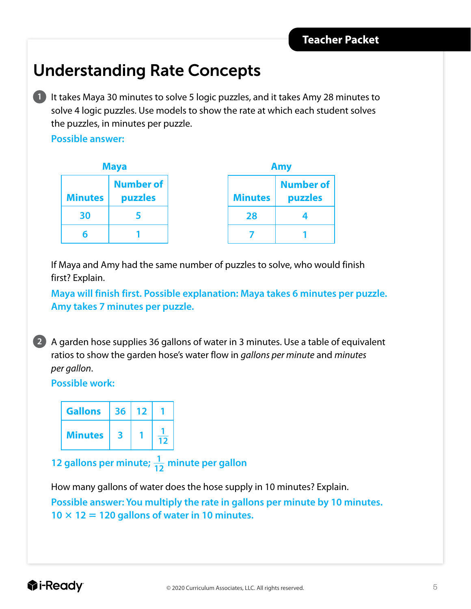### Understanding Rate Concepts

**1** It takes Maya 30 minutes to solve 5 logic puzzles, and it takes Amy 28 minutes to solve 4 logic puzzles. Use models to show the rate at which each student solves the puzzles, in minutes per puzzle.

**Possible answer:**

| <b>Maya</b>    |                  |  |  |
|----------------|------------------|--|--|
|                | <b>Number of</b> |  |  |
| <b>Minutes</b> | puzzles          |  |  |
| 30             | 5                |  |  |
| б              |                  |  |  |

| Amy            |                  |  |  |
|----------------|------------------|--|--|
|                | <b>Number of</b> |  |  |
| <b>Minutes</b> | puzzles          |  |  |
| 28             |                  |  |  |
|                |                  |  |  |

If Maya and Amy had the same number of puzzles to solve, who would finish first? Explain.

**Maya will finish first. Possible explanation: Maya takes 6 minutes per puzzle. Amy takes 7 minutes per puzzle.** 



**2** A garden hose supplies 36 gallons of water in 3 minutes. Use a table of equivalent ratios to show the garden hose's water flow in *gallons per minute* and *minutes per gallon*.

**Possible work:**

| <b>Gallons</b> | 36 | 12 |  |
|----------------|----|----|--|
| <b>Minutes</b> | R  |    |  |

**12 gallons per minute;**  $\frac{1}{12}$  minute per gallon

How many gallons of water does the hose supply in 10 minutes? Explain.

**Possible answer: You multiply the rate in gallons per minute by 10 minutes.**   $10 \times 12 = 120$  gallons of water in 10 minutes.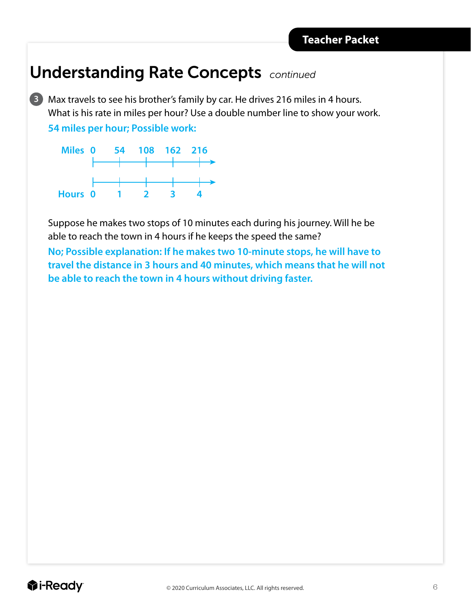#### Understanding Rate Concepts *continued*

**3** Max travels to see his brother's family by car. He drives 216 miles in 4 hours. What is his rate in miles per hour? Use a double number line to show your work. **54 miles per hour; Possible work:**



Suppose he makes two stops of 10 minutes each during his journey. Will he be able to reach the town in 4 hours if he keeps the speed the same?

**No; Possible explanation: If he makes two 10-minute stops, he will have to travel the distance in 3 hours and 40 minutes, which means that he will not be able to reach the town in 4 hours without driving faster.**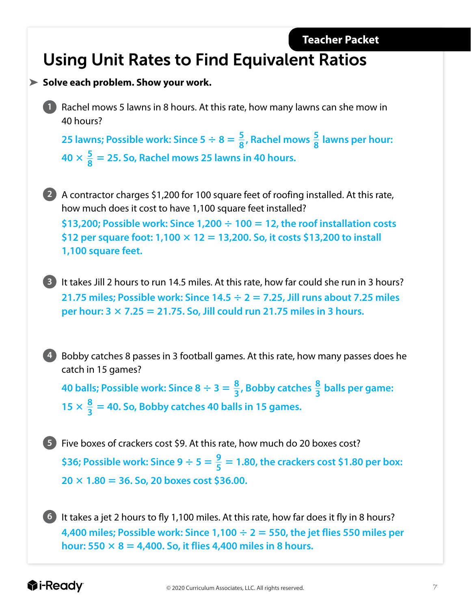### Using Unit Rates to Find Equivalent Ratios

#### **Solve each problem. Show your work.**

**1** Rachel mows 5 lawns in 8 hours. At this rate, how many lawns can she mow in 40 hours?

**25 lawns; Possible work: Since 5**  $\div$  **8 =**  $\frac{5}{8}$ **, Rachel mows**  $\frac{5}{8}$  **lawns per hour:**  $40 \times \frac{5}{8} = 25$ . So, Rachel mows 25 lawns in 40 hours.

**2** A contractor charges \$1,200 for 100 square feet of roofing installed. At this rate, how much does it cost to have 1,100 square feet installed?

**\$13,200; Possible work: Since 1,200** 4 **100** 5 **12, the roof installation costs \$12 per square foot: 1,100** 3 **12** 5 **13,200. So, it costs \$13,200 to install 1,100 square feet.**

**3** It takes Jill 2 hours to run 14.5 miles. At this rate, how far could she run in 3 hours? **21.75 miles; Possible work: Since 14.5** 4 **2** 5 **7.25, Jill runs about 7.25 miles per hour:**  $3 \times 7.25 = 21.75$ **. So, Jill could run 21.75 miles in 3 hours.** 

**4** Bobby catches 8 passes in 3 football games. At this rate, how many passes does he catch in 15 games?

**40 balls; Possible work: Since 8**  $\div$  **3 =**  $\frac{8}{3}$ **, Bobby catches**  $\frac{8}{3}$  **balls per game:**  $15 \times \frac{8}{3} = 40$ . So, Bobby catches 40 balls in 15 games.

**5** Five boxes of crackers cost \$9. At this rate, how much do 20 boxes cost? \$36; Possible work: Since  $9 \div 5 = \frac{9}{5} = 1.80$ , the crackers cost \$1.80 per box:  $20 \times 1.80 = 36$ . So, 20 boxes cost \$36.00.

**6** It takes a jet 2 hours to fly 1,100 miles. At this rate, how far does it fly in 8 hours? **4,400 miles; Possible work: Since 1,100**  $\div$  **2 = 550, the jet flies 550 miles per hour: 550**  $\times$  **8 = 4,400. So, it flies 4,400 miles in 8 hours.**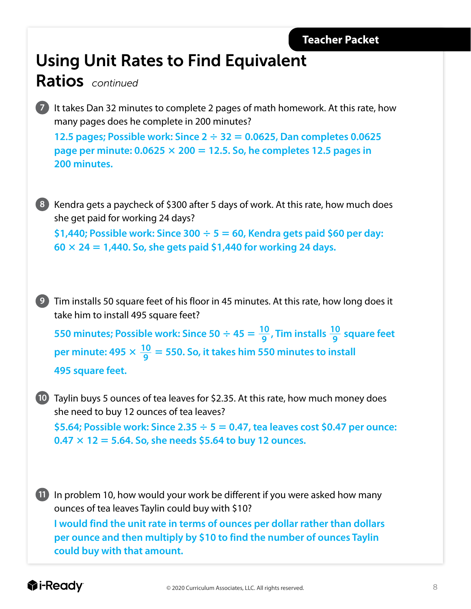### Using Unit Rates to Find Equivalent

#### Ratios *continued*

LESSON 16

**7** It takes Dan 32 minutes to complete 2 pages of math homework. At this rate, how many pages does he complete in 200 minutes?

**12.5 pages; Possible work: Since**  $2 \div 32 = 0.0625$ **, Dan completes 0.0625 page per minute: 0.0625** 3 **200** 5 **12.5. So, he completes 12.5 pages in 200 minutes.**

**8** Kendra gets a paycheck of \$300 after 5 days of work. At this rate, how much does she get paid for working 24 days?

**\$1,440; Possible work: Since 300** 4 **5** 5 **60, Kendra gets paid \$60 per day: 60** 3 **24** 5 **1,440. So, she gets paid \$1,440 for working 24 days.**

**9** Tim installs 50 square feet of his floor in 45 minutes. At this rate, how long does it take him to install 495 square feet?

**550 minutes; Possible work: Since 50**  $\div$  45 =  $\frac{10}{9}$ , Tim installs  $\frac{10}{9}$  square feet per minute: 495  $\times \frac{10}{9} = 550$ . So, it takes him 550 minutes to install **495 square feet.**

**10** Taylin buys 5 ounces of tea leaves for \$2.35. At this rate, how much money does she need to buy 12 ounces of tea leaves?

**\$5.64; Possible work: Since 2.35** 4 **5** 5 **0.47, tea leaves cost \$0.47 per ounce: 0.47** 3 **12** 5 **5.64. So, she needs \$5.64 to buy 12 ounces.**

**11** In problem 10, how would your work be different if you were asked how many ounces of tea leaves Taylin could buy with \$10? **I would find the unit rate in terms of ounces per dollar rather than dollars per ounce and then multiply by \$10 to find the number of ounces Taylin could buy with that amount.**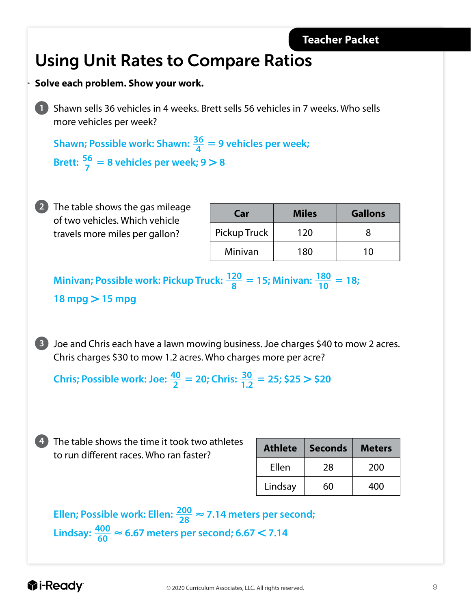### Using Unit Rates to Compare Ratios

#### **Solve each problem. Show your work.**

LESSON 16

**1** Shawn sells 36 vehicles in 4 weeks. Brett sells 56 vehicles in 7 weeks. Who sells more vehicles per week?

**Shawn; Possible work: Shawn:**  $\frac{36}{4}$  = 9 vehicles per week; **Brett:**  $\frac{56}{7}$  = 8 vehicles per week; 9 > 8

| 2) The table shows the gas mileage |
|------------------------------------|
| of two vehicles. Which vehicle     |
| travels more miles per gallon?     |

| Car          | <b>Miles</b> | <b>Gallons</b> |
|--------------|--------------|----------------|
| Pickup Truck | 120          |                |
| Minivan      | 180          | 10             |

**Minivan; Possible work: Pickup Truck:**  $\frac{120}{8}$  = 15; Minivan:  $\frac{180}{10}$  = 18; **18 mpg** . **15 mpg**

**3** Joe and Chris each have a lawn mowing business. Joe charges \$40 to mow 2 acres. Chris charges \$30 to mow 1.2 acres. Who charges more per acre?

**Chris; Possible work: Joe:**  $\frac{40}{2}$  = 20; Chris:  $\frac{30}{1.2}$  = 25; \$25 > \$20

**4** The table shows the time it took two athletes to run different races. Who ran faster?

| <b>Athlete</b> | <b>Seconds</b> | <b>Meters</b> |
|----------------|----------------|---------------|
| Ellen          | 28             | 200           |
| Lindsay        | 60             | 400           |

Ellen; Possible work: Ellen:  $\frac{200}{28} \approx 7.14$  meters per second; **Lindsay:**  $\frac{400}{60}$  ≈ 6.67 meters per second; 6.67 < 7.14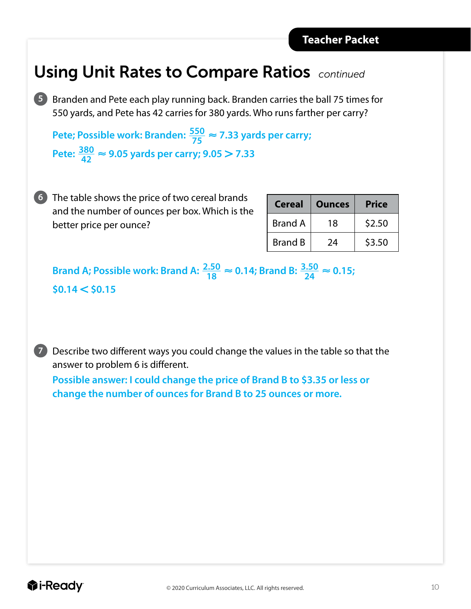### Using Unit Rates to Compare Ratios *continued*

**5** Branden and Pete each play running back. Branden carries the ball 75 times for 550 yards, and Pete has 42 carries for 380 yards. Who runs farther per carry?

**Pete; Possible work: Branden:**  $\frac{550}{75} \approx 7.33$  yards per carry;  $\text{Pete: } \frac{380}{42} \approx 9.05 \text{ yards per carry; } 9.05 > 7.33$ 

**6** The table shows the price of two cereal brands and the number of ounces per box. Which is the better price per ounce?

| <b>Cereal</b>  | <b>Ounces</b> | <b>Price</b> |
|----------------|---------------|--------------|
| <b>Brand A</b> | 18            | \$2.50       |
| <b>Brand B</b> | 24            | \$3.50       |

**Brand A; Possible work: Brand A:**  $\frac{2.50}{18} \approx 0.14$ **; Brand B:**  $\frac{3.50}{24} \approx 0.15$ **;**  $$0.14 < $0.15$ 

**7** Describe two different ways you could change the values in the table so that the answer to problem 6 is different.

**Possible answer: I could change the price of Brand B to \$3.35 or less or change the number of ounces for Brand B to 25 ounces or more.**

LESSON 16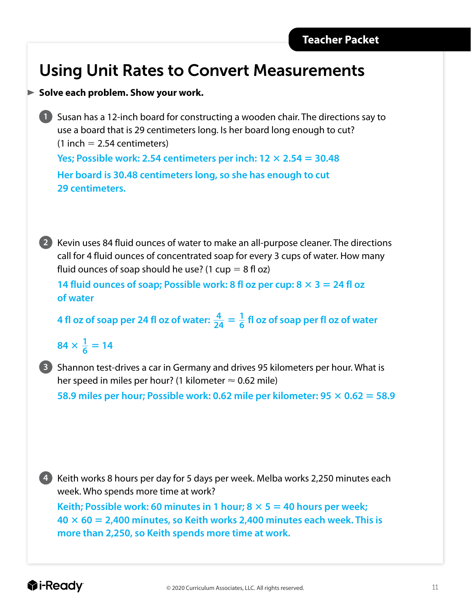### Using Unit Rates to Convert Measurements

#### **Solve each problem. Show your work.**

**1** Susan has a 12-inch board for constructing a wooden chair. The directions say to use a board that is 29 centimeters long. Is her board long enough to cut?  $(1$  inch = 2.54 centimeters)

**Yes; Possible work: 2.54 centimeters per inch:**  $12 \times 2.54 = 30.48$ 

**Her board is 30.48 centimeters long, so she has enough to cut 29 centimeters.**

**2** Kevin uses 84 fluid ounces of water to make an all-purpose cleaner. The directions call for 4 fluid ounces of concentrated soap for every 3 cups of water. How many fluid ounces of soap should he use? (1 cup  $= 8$  fl oz)

**14 fluid ounces of soap; Possible work: 8 fl oz per cup:**  $8 \times 3 = 24$  **fl oz of water**

**4** fl oz of soap per 24 fl oz of water:  $\frac{4}{24} = \frac{1}{6}$  fl oz of soap per fl oz of water

 $84 \times \frac{1}{6} = 14$ 

**3** Shannon test-drives a car in Germany and drives 95 kilometers per hour. What is her speed in miles per hour? (1 kilometer  $\approx$  0.62 mile)

58.9 miles per hour; Possible work: 0.62 mile per kilometer:  $95 \times 0.62 = 58.9$ 

**4** Keith works 8 hours per day for 5 days per week. Melba works 2,250 minutes each week. Who spends more time at work?

**Keith; Possible work: 60 minutes in 1 hour; 8**  $\times$  **5 = 40 hours per week; 40** 3 **60** 5 **2,400 minutes, so Keith works 2,400 minutes each week. This is more than 2,250, so Keith spends more time at work.**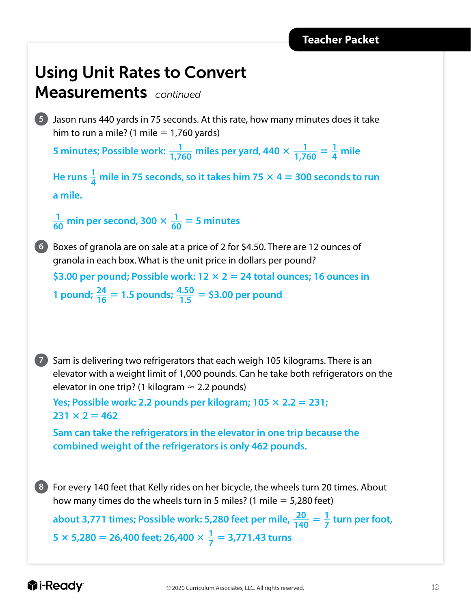### Using Unit Rates to Convert

#### Measurements *continued*

**5** Jason runs 440 yards in 75 seconds. At this rate, how many minutes does it take him to run a mile? (1 mile  $= 1,760$  yards)

5 minutes; Possible work:  $\frac{1}{1,760}$  miles per yard, 440  $\times$   $\frac{1}{1,760}$  =  $\frac{1}{4}$  mile

He runs  $\frac{1}{4}$  mile in 75 seconds, so it takes him 75  $\times$  4 = 300 seconds to run **a mile.**

 $\frac{1}{60}$  min per second, 300  $\times$   $\frac{1}{60}$  = 5 minutes



**6** Boxes of granola are on sale at a price of 2 for \$4.50. There are 12 ounces of granola in each box. What is the unit price in dollars per pound?

**\$3.00 per pound; Possible work: 12** 3 **2** 5 **24 total ounces; 16 ounces in 1 pound**;  $\frac{24}{16}$  = 1.5 **pounds**;  $\frac{4.50}{1.5}$  = \$3.00 per pound



**7** Sam is delivering two refrigerators that each weigh 105 kilograms. There is an elevator with a weight limit of 1,000 pounds. Can he take both refrigerators on the elevator in one trip? (1 kilogram  $\approx$  2.2 pounds)

```
Yes; Possible work: 2.2 pounds per kilogram; 105 \times 2.2 = 231;
231 \times 2 = 462
```
**Sam can take the refrigerators in the elevator in one trip because the combined weight of the refrigerators is only 462 pounds.**

**8** For every 140 feet that Kelly rides on her bicycle, the wheels turn 20 times. About how many times do the wheels turn in 5 miles? (1 mile  $=$  5,280 feet)

about 3,771 times; Possible work: 5,280 feet per mile,  $\frac{20}{140} = \frac{1}{7}$  turn per foot,  $5 \times 5,280 = 26,400$  feet; 26,400  $\times \frac{1}{7} = 3,771.43$  turns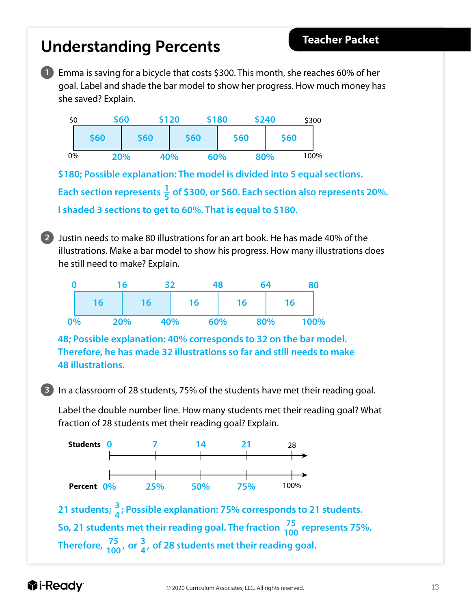#### 0% 100% **2** Justin needs to make 80 illustrations for an art book. He has made 40% of the illustrations. Make a bar model to show his progress. How many illustrations does he still need to make? Explain. **3** In a classroom of 28 students, 75% of the students have met their reading goal. Label the double number line. How many students met their reading goal? What fraction of 28 students met their reading goal? Explain. **Students Percent** 28 100% **\$180; Possible explanation: The model is divided into 5 equal sections.**  Each section represents  $\frac{1}{5}$  of \$300, or \$60. Each section also represents 20%. **I shaded 3 sections to get to 60%. That is equal to \$180. 48; Possible explanation: 40% corresponds to 32 on the bar model. Therefore, he has made 32 illustrations so far and still needs to make 48 illustrations. 20% 40% 60% 80% \$60 \$60 \$60 \$60 \$60 16 0 16 32 48 64 80 0% 20% 40% 60% 80% 100% 16 16 16 16 0 7 14 21 0% 25% 50% 75% 21** students;  $\frac{3}{4}$ ; Possible explanation: 75% corresponds to 21 students. **So, 21 students met their reading goal. The fraction**  $\frac{75}{100}$  **represents 75%.** Therefore,  $\frac{75}{100}$ , or  $\frac{3}{4}$ , of 28 students met their reading goal.

**1** Emma is saving for a bicycle that costs \$300. This month, she reaches 60% of her

**\$60 \$120 \$180 \$240**

goal. Label and shade the bar model to show her progress. How much money has

Understanding Percents

she saved? Explain.

\$0

**Teacher Packet**

\$300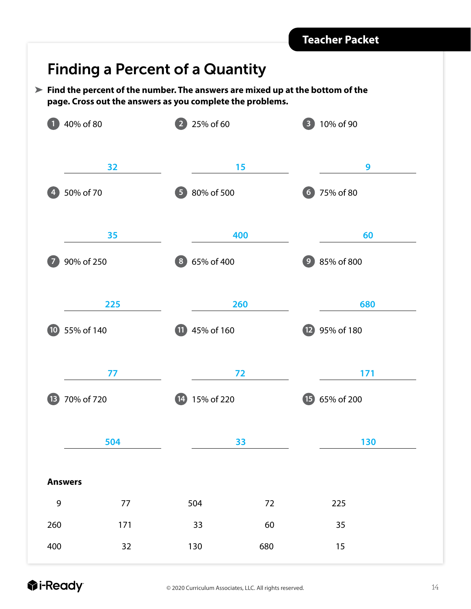#### Finding a Percent of a Quantity

**Find the percent of the number. The answers are mixed up at the bottom of the page. Cross out the answers as you complete the problems.**

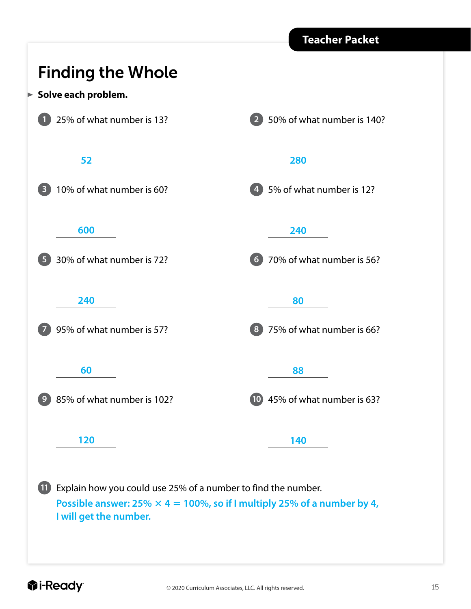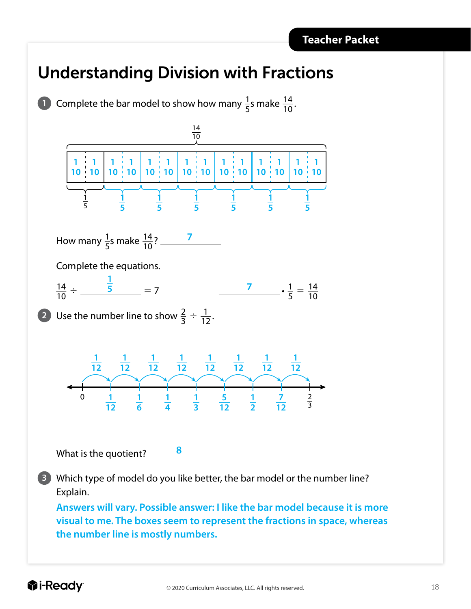### Understanding Division with Fractions

**1** Complete the bar model to show how many  $\frac{1}{5}$ s make  $\frac{14}{10}$ . How many <sup>1</sup> ··5 s make <sup>14</sup> ··<sup>10</sup> ? **7** Complete the equations.  $\frac{14}{10} \div \frac{5}{10} = 7$   $\frac{7}{5} \div \frac{1}{5} = \frac{14}{10}$ **2** Use the number line to show  $\frac{2}{3} \div \frac{1}{12}$ . 0 1 1 1 1 1 5 1 7 2 What is the quotient? **8** Which type of model do you like better, the bar model or the number line? Explain. ··**5 Answers will vary. Possible answer: I like the bar model because it is more visual to me. The boxes seem to represent the fractions in space, whereas the number line is mostly numbers.**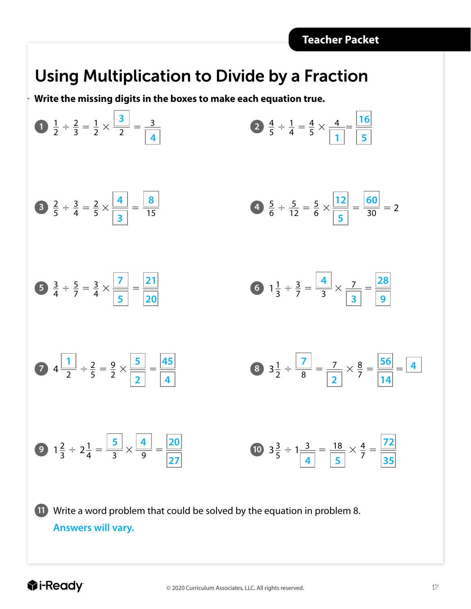### Using Multiplication to Divide by a Fraction

**Write the missing digits in the boxes to make each equation true.**



LESSON 10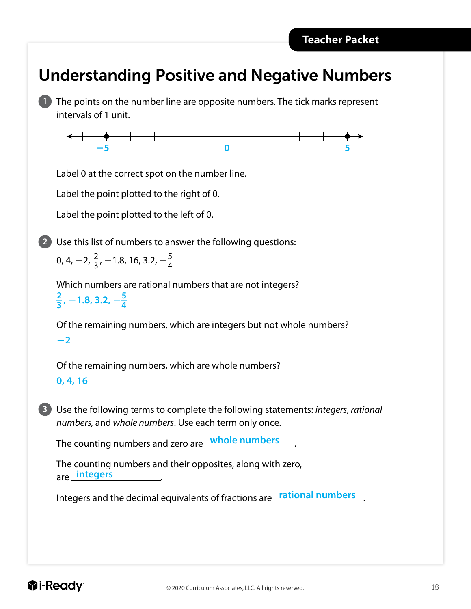#### Understanding Positive and Negative Numbers

**1** The points on the number line are opposite numbers. The tick marks represent intervals of 1 unit.



Label 0 at the correct spot on the number line.

Label the point plotted to the right of 0.

Label the point plotted to the left of 0.

**2** Use this list of numbers to answer the following questions:

0, 4,  $-2$ ,  $\frac{2}{3}$ ,  $-1.8$ , 16, 3.2,  $-\frac{5}{4}$ 

LESSON 23

Which numbers are rational numbers that are not integers?  $\frac{2}{3}$ , -1.8, 3.2,  $-\frac{5}{4}$ 

Of the remaining numbers, which are integers but not whole numbers?  $-2$ 

Of the remaining numbers, which are whole numbers? **0, 4, 16**

**3** Use the following terms to complete the following statements: *integers*, *rational numbers,* and *whole numbers*. Use each term only once.

The counting numbers and zero are <u>whole numbers</u>.

The counting numbers and their opposites, along with zero, are <u>integers</u>.

Integers and the decimal equivalents of fractions are **\_rational numbers** \_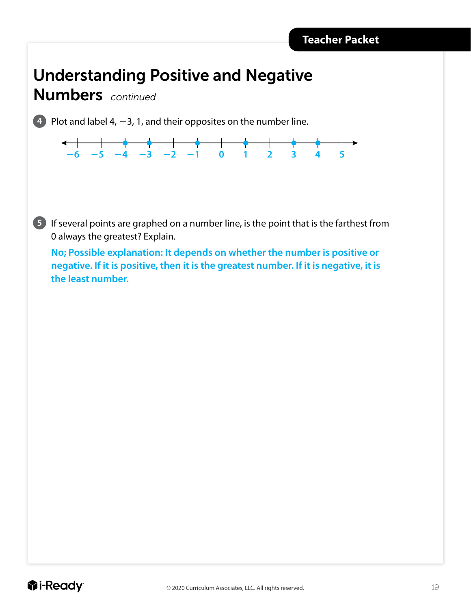#### Understanding Positive and Negative

Numbers *continued*

LESSON 23

**4** Plot and label 4,  $-3$ , 1, and their opposites on the number line.



**5** If several points are graphed on a number line, is the point that is the farthest from 0 always the greatest? Explain.

**No; Possible explanation: It depends on whether the number is positive or negative. If it is positive, then it is the greatest number. If it is negative, it is the least number.**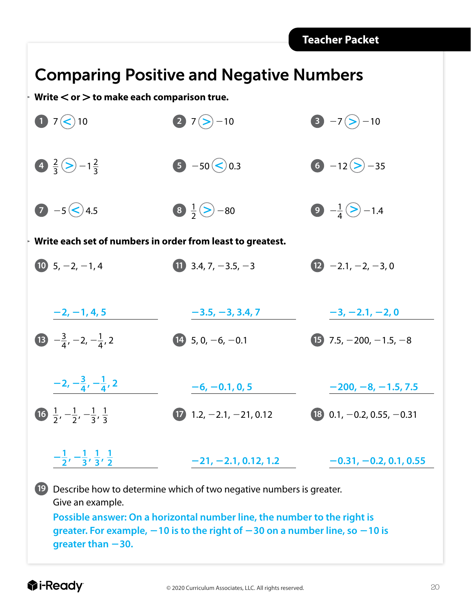### Comparing Positive and Negative Numbers

**Write** , **or** . **to make each comparison true.**

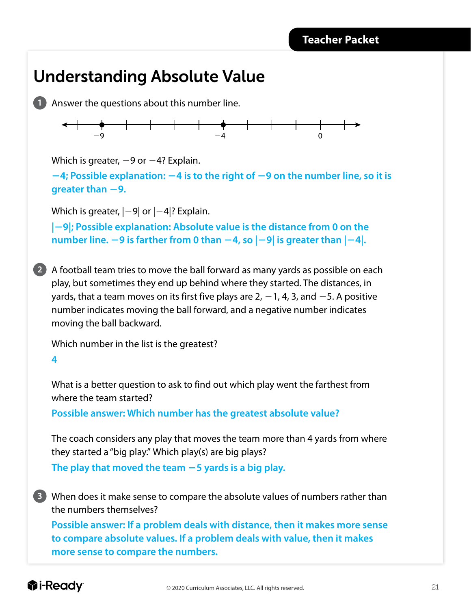#### Understanding Absolute Value

**1** Answer the questions about this number line.



Which is greater,  $-9$  or  $-4$ ? Explain.

2**4; Possible explanation:** 2**4 is to the right of** 2**9 on the number line, so it is greater than**  $-9$ **.** 

Which is greater,  $|-9|$  or  $|-4|$ ? Explain.

**|**2**9|; Possible explanation: Absolute value is the distance from 0 on the number line.**  $-9$  is farther from 0 than  $-4$ , so  $|-9|$  is greater than  $|-4|$ .

**2** A football team tries to move the ball forward as many yards as possible on each play, but sometimes they end up behind where they started. The distances, in yards, that a team moves on its first five plays are 2,  $-1$ , 4, 3, and  $-5$ . A positive number indicates moving the ball forward, and a negative number indicates moving the ball backward.

Which number in the list is the greatest?

**4**

What is a better question to ask to find out which play went the farthest from where the team started?

**Possible answer: Which number has the greatest absolute value?**

The coach considers any play that moves the team more than 4 yards from where they started a "big play." Which play(s) are big plays? The play that moved the team  $-5$  yards is a big play.

**3** When does it make sense to compare the absolute values of numbers rather than the numbers themselves?

**Possible answer: If a problem deals with distance, then it makes more sense to compare absolute values. If a problem deals with value, then it makes more sense to compare the numbers.**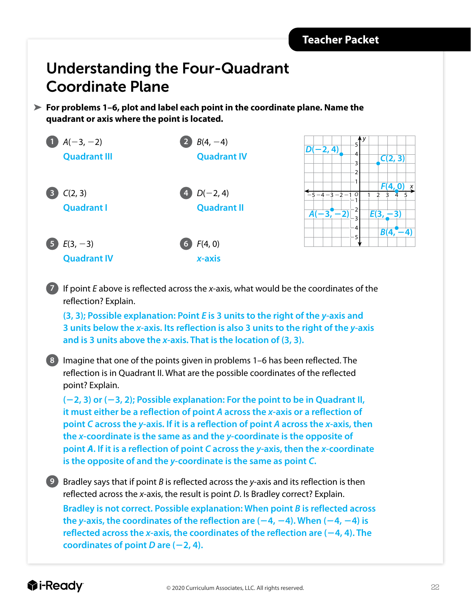#### Understanding the Four-Quadrant Coordinate Plane

**For problems 1–6, plot and label each point in the coordinate plane. Name the quadrant or axis where the point is located.**



**7** If point *E* above is reflected across the *x*-axis, what would be the coordinates of the reflection? Explain.

**(3, 3); Possible explanation: Point** *E* **is 3 units to the right of the** *y***-axis and 3 units below the** *x***-axis. Its reflection is also 3 units to the right of the** *y***-axis and is 3 units above the** *x***-axis. That is the location of (3, 3).**

**8** Imagine that one of the points given in problems 1–6 has been reflected. The reflection is in Quadrant II. What are the possible coordinates of the reflected point? Explain.

**(**2**2, 3) or (**2**3, 2); Possible explanation: For the point to be in Quadrant II, it must either be a reflection of point** *A* **across the** *x***-axis or a reflection of point** *C* **across the** *y***-axis. If it is a reflection of point** *A* **across the** *x***-axis, then the** *x***-coordinate is the same as and the** *y***-coordinate is the opposite of point** *A***. If it is a reflection of point** *C* **across the** *y***-axis, then the** *x***-coordinate is the opposite of and the** *y***-coordinate is the same as point** *C***.**

**9** Bradley says that if point *B* is reflected across the *y*-axis and its reflection is then reflected across the *x*-axis, the result is point *D*. Is Bradley correct? Explain.

**Bradley is not correct. Possible explanation: When point** *B* **is reflected across the y-axis, the coordinates of the reflection are**  $(-4, -4)$ **. When**  $(-4, -4)$  **is** reflected across the  $x$ -axis, the coordinates of the reflection are  $(-4, 4)$ . The **coordinates of point** *D* are  $(-2, 4)$ .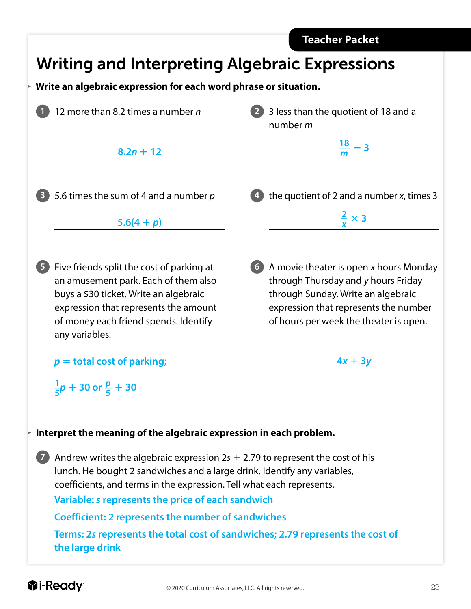

#### *<u>i*</u>-Ready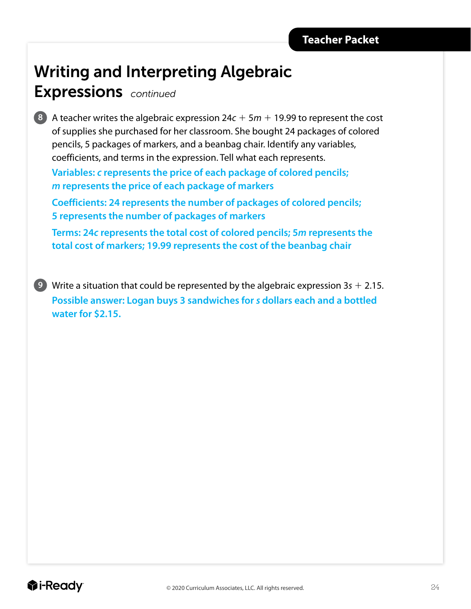### Writing and Interpreting Algebraic

#### Expressions *continued*



**8** A teacher writes the algebraic expression  $24c + 5m + 19.99$  to represent the cost of supplies she purchased for her classroom. She bought 24 packages of colored pencils, 5 packages of markers, and a beanbag chair. Identify any variables, coefficients, and terms in the expression. Tell what each represents.

**Variables:** *c* **represents the price of each package of colored pencils;**  *m* **represents the price of each package of markers** 

**Coefficients: 24 represents the number of packages of colored pencils; 5 represents the number of packages of markers**

**Terms: 24***c* **represents the total cost of colored pencils; 5***m* **represents the total cost of markers; 19.99 represents the cost of the beanbag chair**

**9** Write a situation that could be represented by the algebraic expression  $3s + 2.15$ . **Possible answer: Logan buys 3 sandwiches for** *s* **dollars each and a bottled water for \$2.15.**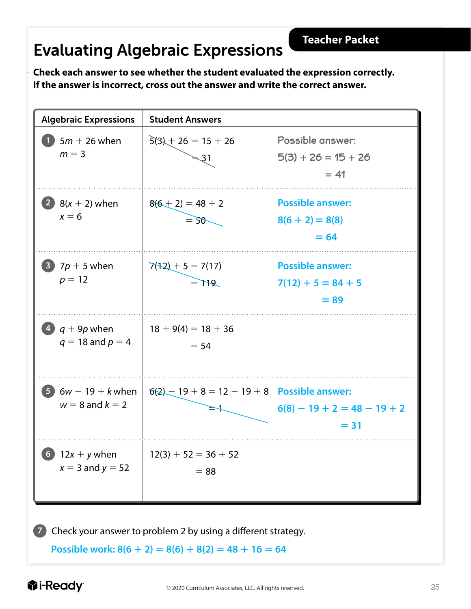### Evaluating Algebraic Expressions

**Check each answer to see whether the student evaluated the expression correctly. If the answer is incorrect, cross out the answer and write the correct answer.** 



**Possible work:**  $8(6 + 2) = 8(6) + 8(2) = 48 + 16 = 64$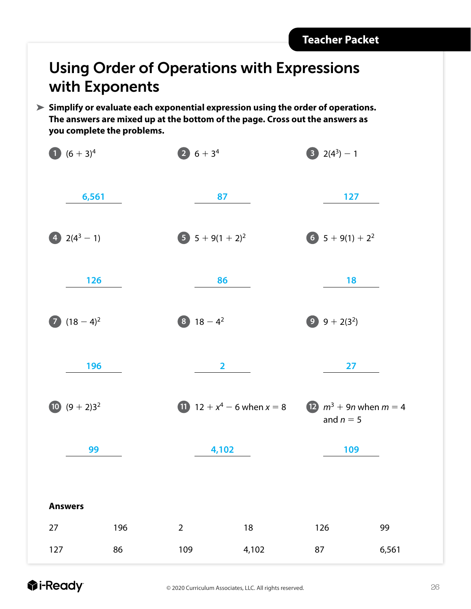#### Using Order of Operations with Expressions with Exponents

**Simplify or evaluate each exponential expression using the order of operations. The answers are mixed up at the bottom of the page. Cross out the answers as you complete the problems.**

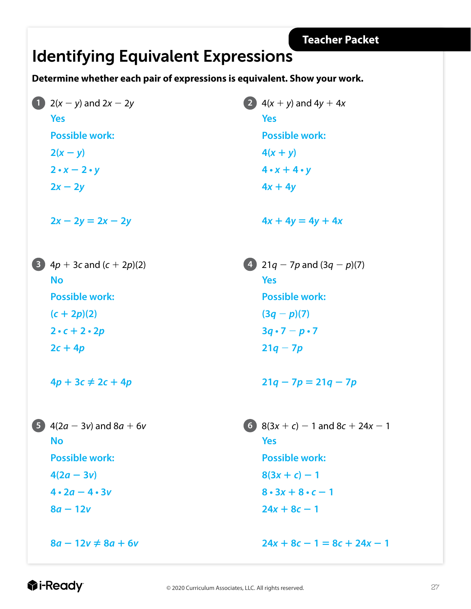#### Identifying Equivalent Expressions

**Determine whether each pair of expressions is equivalent. Show your work.** 

**Yes Possible work:**   $2(x - y)$  $2 \cdot x - 2 \cdot y$  $2x - 2y$  $2x - 2y = 2x - 2y$ **No Possible work:**  $(c + 2p)(2)$  $2 \cdot c + 2 \cdot 2p$  $2c + 4p$ 

 $4p + 3c \neq 2c + 4p$ 

**No Possible work:**  $4(2a - 3v)$  $4 \cdot 2a - 4 \cdot 3v$  $8a - 12v$ 

 $8a - 12v \neq 8a + 6v$ 

**1**  $2(x - y)$  and  $2x - 2y$  **2**  $4(x + y)$  and  $4y + 4x$ **Yes Possible work:**   $4(x + y)$  $4 \cdot x + 4 \cdot y$  $4x + 4y$ 

 $4x + 4y = 4y + 4x$ 

**3**  $4p + 3c$  and  $(c + 2p)(2)$  **4**  $21q - 7p$  and  $(3q - p)(7)$ **Yes Possible work:**  $(3q - p)(7)$  $3q \cdot 7 - p \cdot 7$  $21q - 7p$ 

 $21q - 7p = 21q - 7p$ 

**5**  $4(2a - 3v)$  and  $8a + 6v$  **6**  $8(3x + c) - 1$  and  $8c + 24x - 1$ **Yes Possible work:**  $8(3x + c) - 1$  $8 \cdot 3x + 8 \cdot c - 1$  $24x + 8c - 1$ 

 $24x + 8c - 1 = 8c + 24x - 1$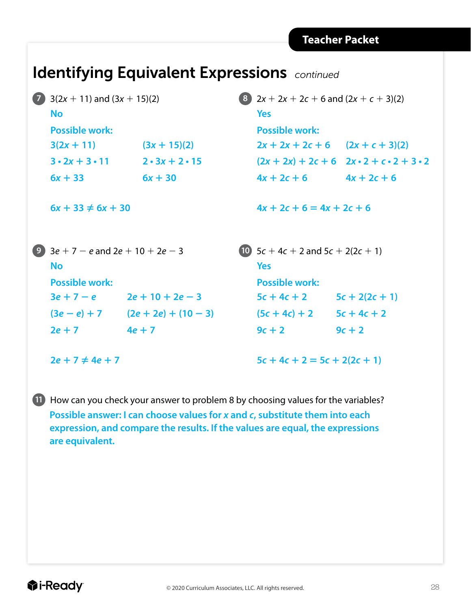#### Identifying Equivalent Expressions *continued*

| $\overline{7}$         | $3(2x + 11)$ and $(3x + 15)(2)$<br><b>No</b>                              |                             | 8)                             |                                       | $2x + 2x + 2c + 6$ and $(2x + c + 3)(2)$                  |  |
|------------------------|---------------------------------------------------------------------------|-----------------------------|--------------------------------|---------------------------------------|-----------------------------------------------------------|--|
|                        |                                                                           |                             |                                | <b>Yes</b>                            |                                                           |  |
|                        | <b>Possible work:</b>                                                     |                             |                                | <b>Possible work:</b>                 |                                                           |  |
|                        | $3(2x + 11)$                                                              | $(3x + 15)(2)$              |                                | $2x + 2x + 2c + 6$ $(2x + c + 3)(2)$  |                                                           |  |
|                        | $3 \cdot 2x + 3 \cdot 11$                                                 | $2 \cdot 3x + 2 \cdot 15$   |                                |                                       | $(2x + 2x) + 2c + 6$ $2x \cdot 2 + c \cdot 2 + 3 \cdot 2$ |  |
|                        | $6x + 33$                                                                 | $6x + 30$                   |                                | $4x + 2c + 6$                         | $4x + 2c + 6$                                             |  |
| $6x + 33 \neq 6x + 30$ |                                                                           | $4x + 2c + 6 = 4x + 2c + 6$ |                                |                                       |                                                           |  |
| 9                      | $3e + 7 - e$ and $2e + 10 + 2e - 3$<br><b>No</b><br><b>Possible work:</b> |                             |                                | 10 $5c + 4c + 2$ and $5c + 2(2c + 1)$ |                                                           |  |
|                        |                                                                           |                             |                                | <b>Yes</b>                            |                                                           |  |
|                        |                                                                           |                             | <b>Possible work:</b>          |                                       |                                                           |  |
|                        | $3e + 7 - e$                                                              | $2e + 10 + 2e - 3$          |                                | $5c + 4c + 2$                         | $5c + 2(2c + 1)$                                          |  |
|                        | $(3e - e) + 7$                                                            | $(2e + 2e) + (10 - 3)$      |                                | $(5c + 4c) + 2$                       | $5c + 4c + 2$                                             |  |
|                        | $2e + 7$                                                                  | $4e + 7$                    |                                | $9c + 2$                              | $9c + 2$                                                  |  |
| $2e + 7 \neq 4e + 7$   |                                                                           |                             | $5c + 4c + 2 = 5c + 2(2c + 1)$ |                                       |                                                           |  |

**11** How can you check your answer to problem 8 by choosing values for the variables? **Possible answer: I can choose values for** *x* **and** *c***, substitute them into each expression, and compare the results. If the values are equal, the expressions are equivalent.**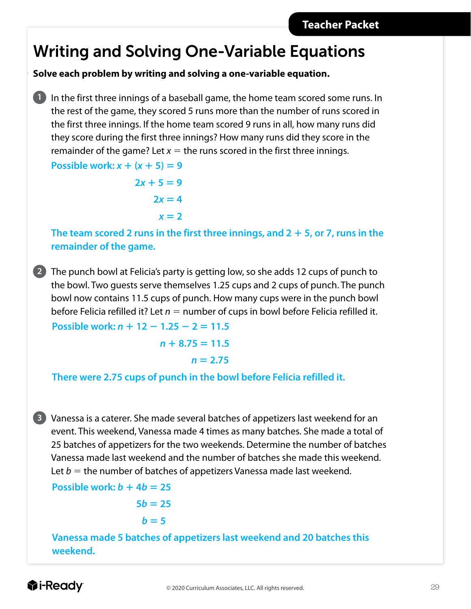#### Writing and Solving One-Variable Equations

**Solve each problem by writing and solving a one-variable equation.**

**1** In the first three innings of a baseball game, the home team scored some runs. In the rest of the game, they scored 5 runs more than the number of runs scored in the first three innings. If the home team scored 9 runs in all, how many runs did they score during the first three innings? How many runs did they score in the remainder of the game? Let  $x =$  the runs scored in the first three innings.

**Possible work:**  $x + (x + 5) = 9$ 

 $2x + 5 = 9$  $2x = 4$  $x = 2$ 

The team scored 2 runs in the first three innings, and  $2 + 5$ , or 7, runs in the **remainder of the game.** 

**2** The punch bowl at Felicia's party is getting low, so she adds 12 cups of punch to the bowl. Two guests serve themselves 1.25 cups and 2 cups of punch. The punch bowl now contains 11.5 cups of punch. How many cups were in the punch bowl before Felicia refilled it? Let  $n =$  number of cups in bowl before Felicia refilled it.

**Possible work:**  $n + 12 - 1.25 - 2 = 11.5$ 

 $n + 8.75 = 11.5$  $n = 2.75$ 

**There were 2.75 cups of punch in the bowl before Felicia refilled it.**

**3** Vanessa is a caterer. She made several batches of appetizers last weekend for an event. This weekend, Vanessa made 4 times as many batches. She made a total of 25 batches of appetizers for the two weekends. Determine the number of batches Vanessa made last weekend and the number of batches she made this weekend. Let  $b =$  the number of batches of appetizers Vanessa made last weekend.

**Possible work:**  $b + 4b = 25$ 

$$
5b=25
$$

$$
b=5
$$

**Vanessa made 5 batches of appetizers last weekend and 20 batches this weekend.**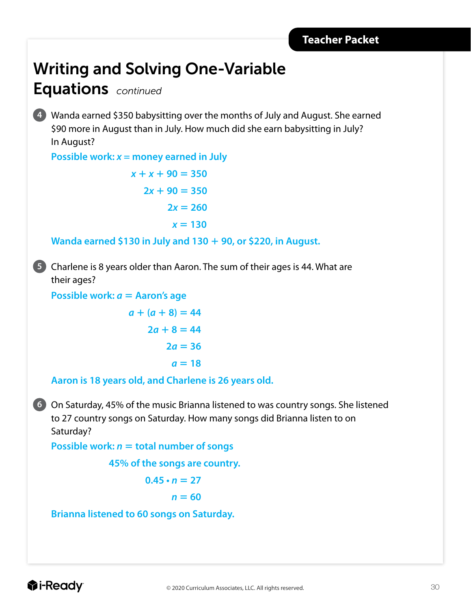### Writing and Solving One-Variable

#### Equations *continued*

**4** Wanda earned \$350 babysitting over the months of July and August. She earned \$90 more in August than in July. How much did she earn babysitting in July? In August?

**Possible work:**  $x =$  money earned in July

 $x + x + 90 = 350$  $2x + 90 = 350$  $2x = 260$  $x = 130$ 

**Wanda earned \$130 in July and 130** 1 **90, or \$220, in August.**

**5** Charlene is 8 years older than Aaron. The sum of their ages is 44. What are their ages?

**Possible work:** *a* **= Aaron's age** 

 $a + (a + 8) = 44$  $2a + 8 = 44$  $2a = 36$  $a = 18$ 

**Aaron is 18 years old, and Charlene is 26 years old.**

**6** On Saturday, 45% of the music Brianna listened to was country songs. She listened to 27 country songs on Saturday. How many songs did Brianna listen to on Saturday?

**Possible work:**  $n =$  **total number of songs** 

**45% of the songs are country.**

 $0.45 \cdot n = 27$ 

$$
n=60
$$

**Brianna listened to 60 songs on Saturday.**